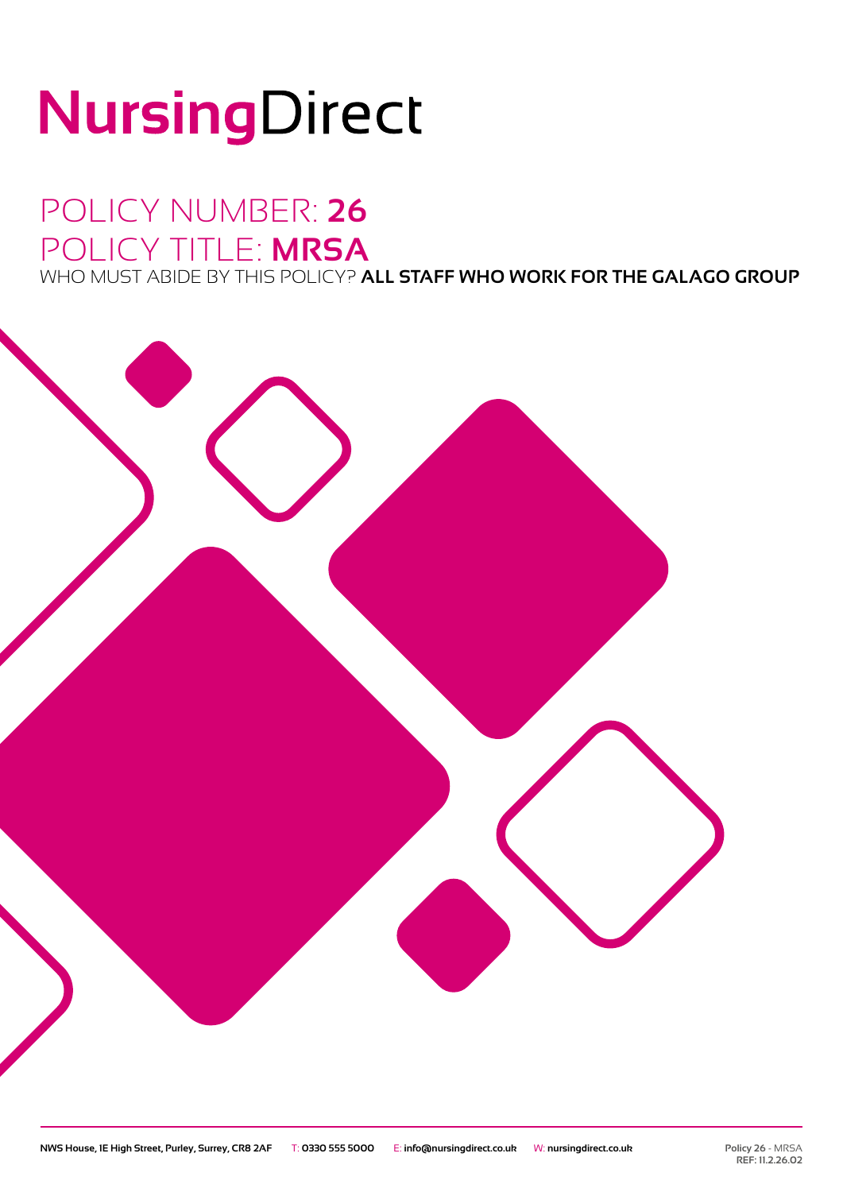# NursingDirect

# POLICY NUMBER: **26** POLICY TITLE: **MRSA**

WHO MUST ABIDE BY THIS POLICY? **ALL STAFF WHO WORK FOR THE GALAGO GROUP**